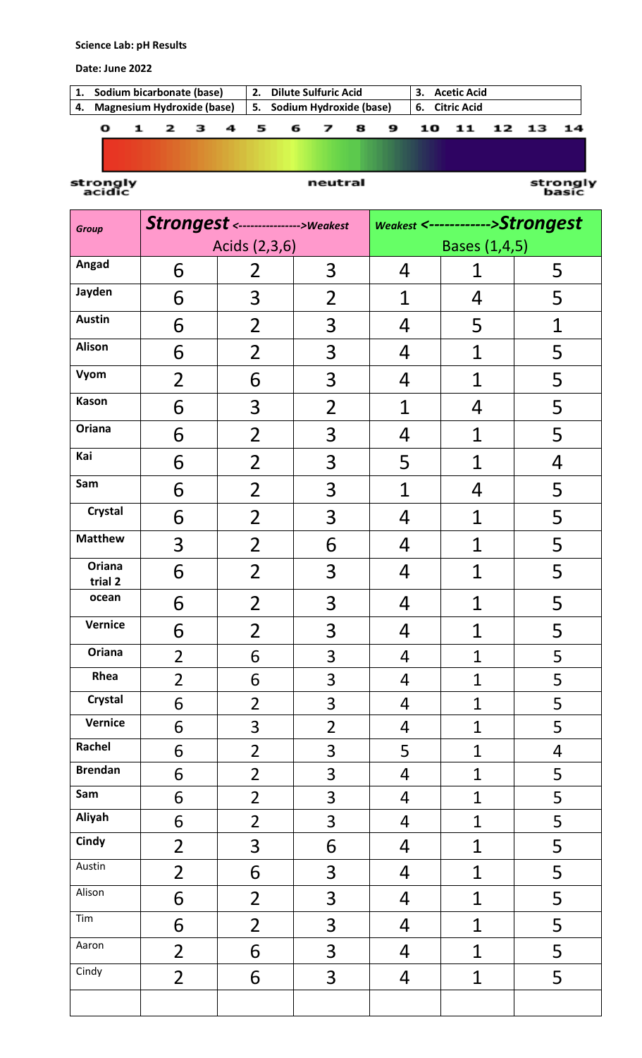## **Science Lab: pH Results**

## **Date: June 2022**

| 1. Sodium bicarbonate (base)  |  |  |  | 2. Dilute Sulfuric Acid    |   |  |  | 3. Acetic Acid |                |  |       |       |  |  |
|-------------------------------|--|--|--|----------------------------|---|--|--|----------------|----------------|--|-------|-------|--|--|
| 4. Magnesium Hydroxide (base) |  |  |  | 5. Sodium Hydroxide (base) |   |  |  |                | 6. Citric Acid |  |       |       |  |  |
|                               |  |  |  |                            | 5 |  |  | 8              |                |  | 10 11 | 12 13 |  |  |

strongly<br>acidic

## neutral

strongly<br>basic

| <b>Group</b>      |                | Strongest <---------------->Weakest |                | Weakest <------------>Strongest |                |                |  |  |
|-------------------|----------------|-------------------------------------|----------------|---------------------------------|----------------|----------------|--|--|
|                   |                | Acids (2,3,6)                       |                | Bases (1,4,5)                   |                |                |  |  |
| Angad             | 6              | $\overline{2}$                      | 3              | 4                               | 1              | 5              |  |  |
| Jayden            | 6              | 3                                   | $\overline{2}$ | $\mathbf 1$                     | 4              | 5              |  |  |
| <b>Austin</b>     | 6              | $\overline{2}$                      | 3              | 4                               | 5              | $\mathbf 1$    |  |  |
| Alison            | 6              | 2                                   | 3              | 4                               | 1              | 5              |  |  |
| Vyom              | $\overline{2}$ | 6                                   | 3              | 4                               | 1              | 5              |  |  |
| Kason             | 6              | 3                                   | $\overline{2}$ | 1                               | 4              | 5              |  |  |
| Oriana            | 6              | $\overline{2}$                      | 3              | 4                               | $\mathbf 1$    | 5              |  |  |
| Kai               | 6              | $\overline{2}$                      | 3              | 5                               | 1              | $\overline{4}$ |  |  |
| Sam               | 6              | 2                                   | 3              | 1                               | 4              | 5              |  |  |
| Crystal           | 6              | 2                                   | 3              | 4                               | 1              | 5              |  |  |
| <b>Matthew</b>    | 3              | 2                                   | 6              | 4                               | 1              | 5              |  |  |
| Oriana<br>trial 2 | 6              | $\overline{2}$                      | 3              | 4                               | 1              | 5              |  |  |
| ocean             | 6              | $\overline{2}$                      | 3              | 4                               | 1              | 5              |  |  |
| Vernice           | 6              | 2                                   | 3              | 4                               | $\overline{1}$ | 5              |  |  |
| Oriana            | $\overline{2}$ | 6                                   | 3              | 4                               | $\overline{1}$ | 5              |  |  |
| Rhea              | $\overline{2}$ | 6                                   | 3              | 4                               | $\mathbf 1$    | 5              |  |  |
| <b>Crystal</b>    | 6              | $\overline{2}$                      | 3              | 4                               | $\mathbf 1$    | 5              |  |  |
| Vernice           | 6              | 3                                   | $\overline{2}$ | 4                               | $\mathbf 1$    | 5              |  |  |
| Rachel            | 6              | $\overline{2}$                      | 3              | 5                               | $\overline{1}$ | $\overline{4}$ |  |  |
| <b>Brendan</b>    | 6              | $\overline{2}$                      | 3              | 4                               | $\mathbf 1$    | 5              |  |  |
| Sam               | 6              | $\overline{2}$                      | 3              | 4                               | $\mathbf 1$    | 5              |  |  |
| Aliyah            | 6              | $\overline{2}$                      | 3              | $\overline{4}$                  | $\mathbf 1$    | 5              |  |  |
| Cindy             | $\overline{2}$ | 3                                   | 6              | 4                               | $\overline{1}$ | 5              |  |  |
| Austin            | $\overline{2}$ | 6                                   | 3              | 4                               | $\mathbf 1$    | 5              |  |  |
| Alison            | 6              | $\overline{2}$                      | 3              | 4                               | $\mathbf 1$    | 5              |  |  |
| Tim               | 6              | $\overline{2}$                      | 3              | 4                               | $\overline{1}$ | 5              |  |  |
| Aaron             | $\overline{2}$ | 6                                   | 3              | 4                               | $\overline{1}$ | 5              |  |  |
| Cindy             | $\overline{2}$ | 6                                   | 3              | 4                               | $\mathbf 1$    | 5              |  |  |
|                   |                |                                     |                |                                 |                |                |  |  |